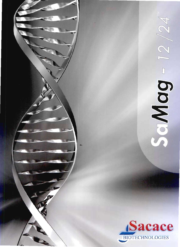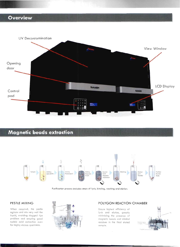## **Overview**



## **Magnetic beads extraction**



Purification process includes steps of lysis, binding, washing and elution.

#### **PESTLE MIXING**

When required, the pestle agitate and mix very well the liquid, avoiding clogged tips problem and ensuring good nucleic acid extraction even for highly viscous specimens.



#### **POLYGON REACTION CHAMBER**

Ensure highest efficiency of lysis and elution, greatly minimizing the presence of magnetic beads and alcohol residues in the final eluted sample.

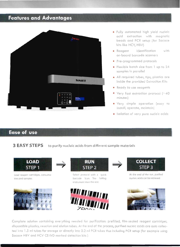### **Features and Advantages**



- Fully automated high yield nucleic acid extraction with magnetic beads and PCR setup (for Sacace kits like HCV, HBV)
- Reagent identification with on-board barcode scanners
- Pre-programmed protocols
- Flexible batch size from 1 up to 24 samples in parallel
- All required tubes, tips, plastics are inside the provided Extraction Kits
- Ready to use reagents
- $\bullet$  Very fast extraction protocol (~40 minutes)
- Very simple operation (easy to install, operate, maintain)
- Isolation of very pure nucleic acids

## **Ease of use**

#### **3 EASY STEPS to purify nucleic acids from different sample materials**



Complete solution containing everything needed for purification: prefilled, film-sealed reagent cartridges, disposable plastics, reaction and elution tubes. At the end of the process, purified nucleic acids are auto collected into 1.5 ml tubes for storage or directly into 0.2 ml PCR tubes thus including PCR setup (for example using Sacace HBV and HCV CE-IVD marked detection kits)